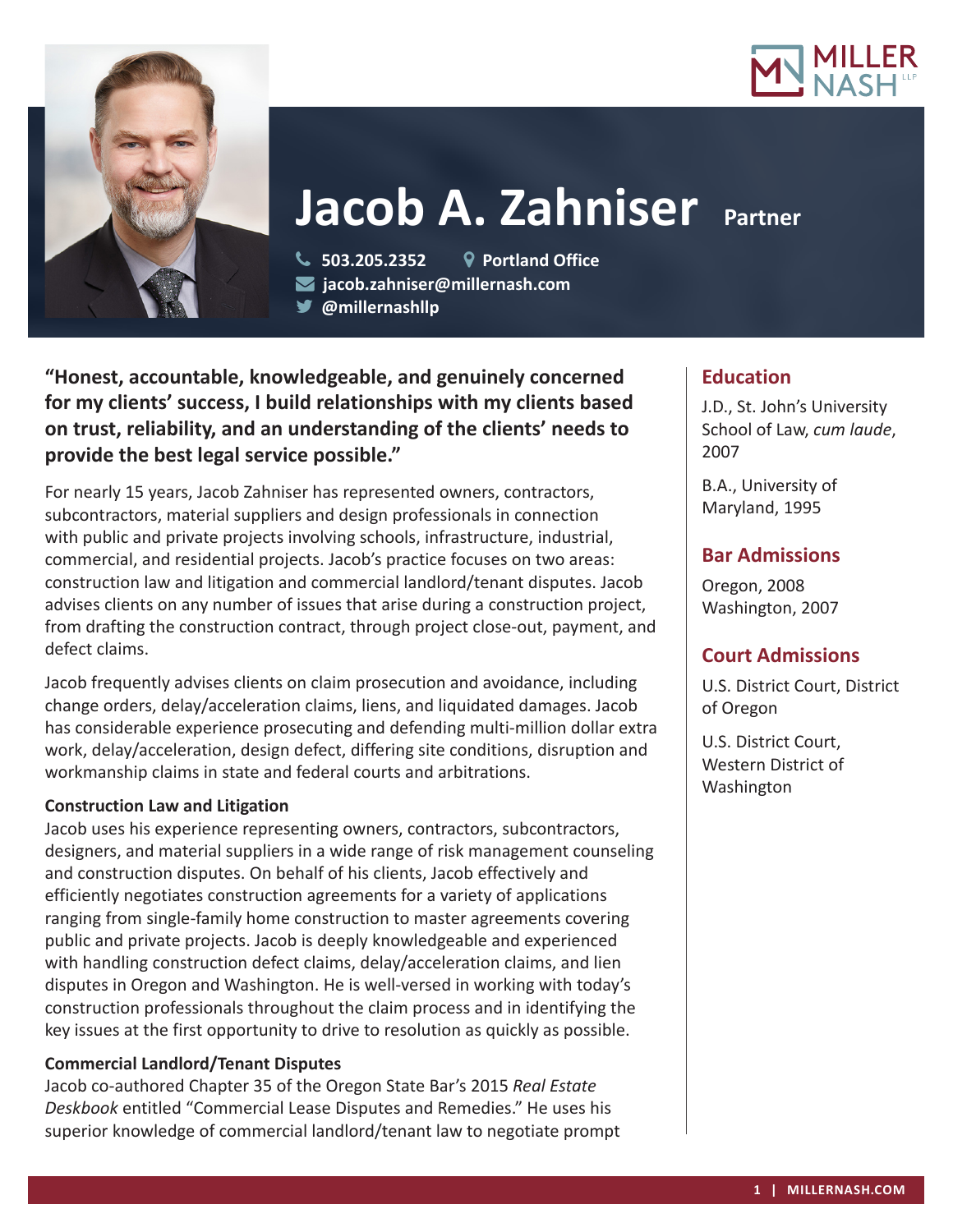



# **Jacob A. Zahniser** Partner

 **503.205.2352 Portland Office jacob.zahniser@millernash.com** 

**@millernashllp**

**"Honest, accountable, knowledgeable, and genuinely concerned for my clients' success, I build relationships with my clients based on trust, reliability, and an understanding of the clients' needs to provide the best legal service possible."**

For nearly 15 years, Jacob Zahniser has represented owners, contractors, subcontractors, material suppliers and design professionals in connection with public and private projects involving schools, infrastructure, industrial, commercial, and residential projects. Jacob's practice focuses on two areas: construction law and litigation and commercial landlord/tenant disputes. Jacob advises clients on any number of issues that arise during a construction project, from drafting the construction contract, through project close-out, payment, and defect claims.

Jacob frequently advises clients on claim prosecution and avoidance, including change orders, delay/acceleration claims, liens, and liquidated damages. Jacob has considerable experience prosecuting and defending multi-million dollar extra work, delay/acceleration, design defect, differing site conditions, disruption and workmanship claims in state and federal courts and arbitrations.

#### **Construction Law and Litigation**

Jacob uses his experience representing owners, contractors, subcontractors, designers, and material suppliers in a wide range of risk management counseling and construction disputes. On behalf of his clients, Jacob effectively and efficiently negotiates construction agreements for a variety of applications ranging from single-family home construction to master agreements covering public and private projects. Jacob is deeply knowledgeable and experienced with handling construction defect claims, delay/acceleration claims, and lien disputes in Oregon and Washington. He is well-versed in working with today's construction professionals throughout the claim process and in identifying the key issues at the first opportunity to drive to resolution as quickly as possible.

## **Commercial Landlord/Tenant Disputes**

Jacob co-authored Chapter 35 of the Oregon State Bar's 2015 *Real Estate Deskbook* entitled "Commercial Lease Disputes and Remedies." He uses his superior knowledge of commercial landlord/tenant law to negotiate prompt

# **Education**

J.D., St. John's University School of Law, *cum laude*, 2007

B.A., University of Maryland, 1995

# **Bar Admissions**

Oregon, 2008 Washington, 2007

# **Court Admissions**

U.S. District Court, District of Oregon

U.S. District Court, Western District of Washington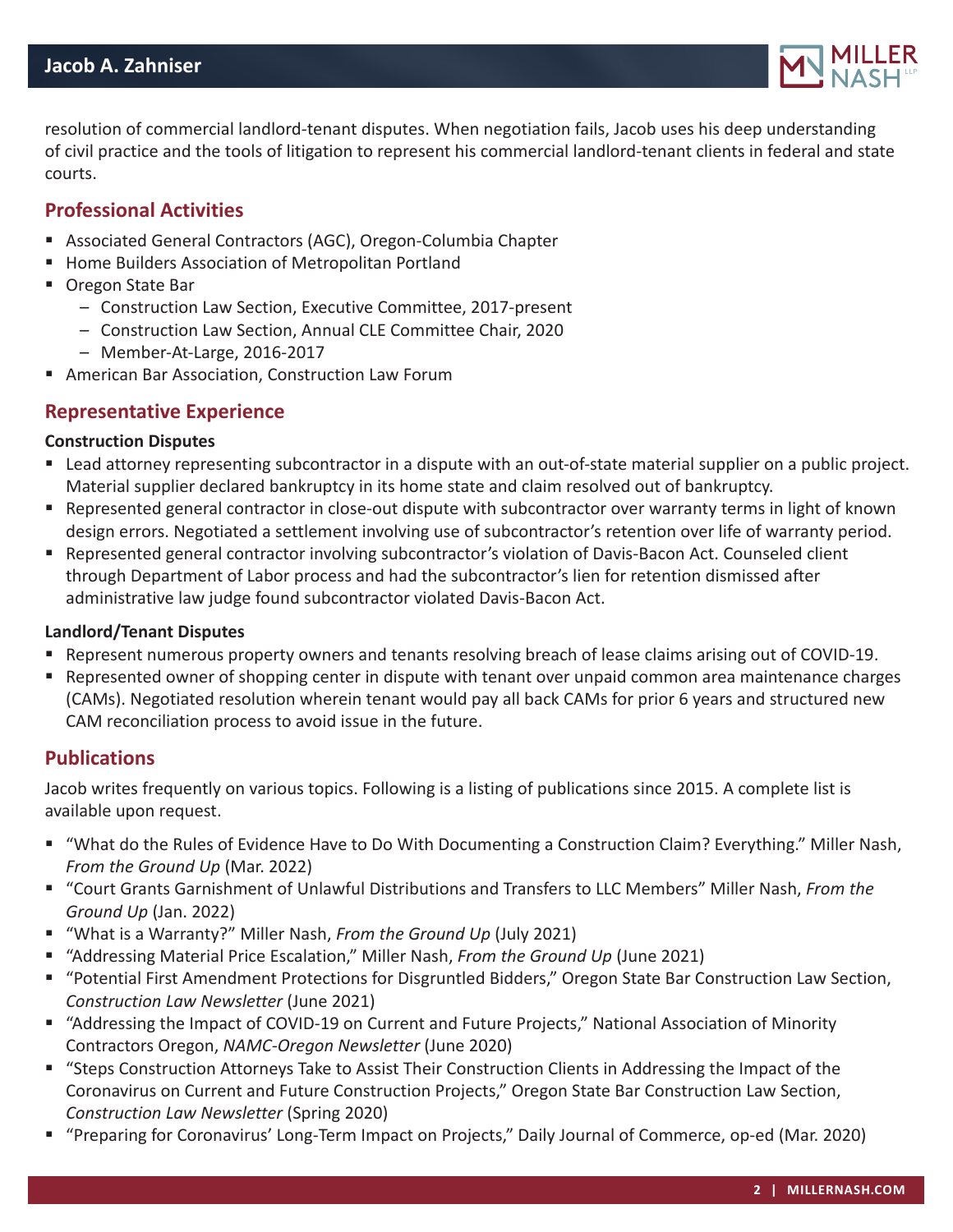

resolution of commercial landlord-tenant disputes. When negotiation fails, Jacob uses his deep understanding of civil practice and the tools of litigation to represent his commercial landlord-tenant clients in federal and state courts.

### **Professional Activities**

- Associated General Contractors (AGC), Oregon-Columbia Chapter
- Home Builders Association of Metropolitan Portland
- Oregon State Bar
	- Construction Law Section, Executive Committee, 2017-present
	- Construction Law Section, Annual CLE Committee Chair, 2020
	- Member-At-Large, 2016-2017
- American Bar Association, Construction Law Forum

#### **Representative Experience**

#### **Construction Disputes**

- Lead attorney representing subcontractor in a dispute with an out-of-state material supplier on a public project. Material supplier declared bankruptcy in its home state and claim resolved out of bankruptcy.
- Represented general contractor in close-out dispute with subcontractor over warranty terms in light of known design errors. Negotiated a settlement involving use of subcontractor's retention over life of warranty period.
- Represented general contractor involving subcontractor's violation of Davis-Bacon Act. Counseled client through Department of Labor process and had the subcontractor's lien for retention dismissed after administrative law judge found subcontractor violated Davis-Bacon Act.

#### **Landlord/Tenant Disputes**

- Represent numerous property owners and tenants resolving breach of lease claims arising out of COVID-19.
- Represented owner of shopping center in dispute with tenant over unpaid common area maintenance charges (CAMs). Negotiated resolution wherein tenant would pay all back CAMs for prior 6 years and structured new CAM reconciliation process to avoid issue in the future.

#### **Publications**

Jacob writes frequently on various topics. Following is a listing of publications since 2015. A complete list is available upon request.

- "What do the Rules of Evidence Have to Do With Documenting a Construction Claim? Everything." Miller Nash, *From the Ground Up* (Mar. 2022)
- "Court Grants Garnishment of Unlawful Distributions and Transfers to LLC Members" Miller Nash, *From the Ground Up* (Jan. 2022)
- "What is a Warranty?" Miller Nash, *From the Ground Up* (July 2021)
- "Addressing Material Price Escalation," Miller Nash, *From the Ground Up* (June 2021)
- "Potential First Amendment Protections for Disgruntled Bidders," Oregon State Bar Construction Law Section, *Construction Law Newsletter* (June 2021)
- "Addressing the Impact of COVID-19 on Current and Future Projects," National Association of Minority Contractors Oregon, *NAMC-Oregon Newsletter* (June 2020)
- "Steps Construction Attorneys Take to Assist Their Construction Clients in Addressing the Impact of the Coronavirus on Current and Future Construction Projects," Oregon State Bar Construction Law Section, *Construction Law Newsletter* (Spring 2020)
- "Preparing for Coronavirus' Long-Term Impact on Projects," Daily Journal of Commerce, op-ed (Mar. 2020)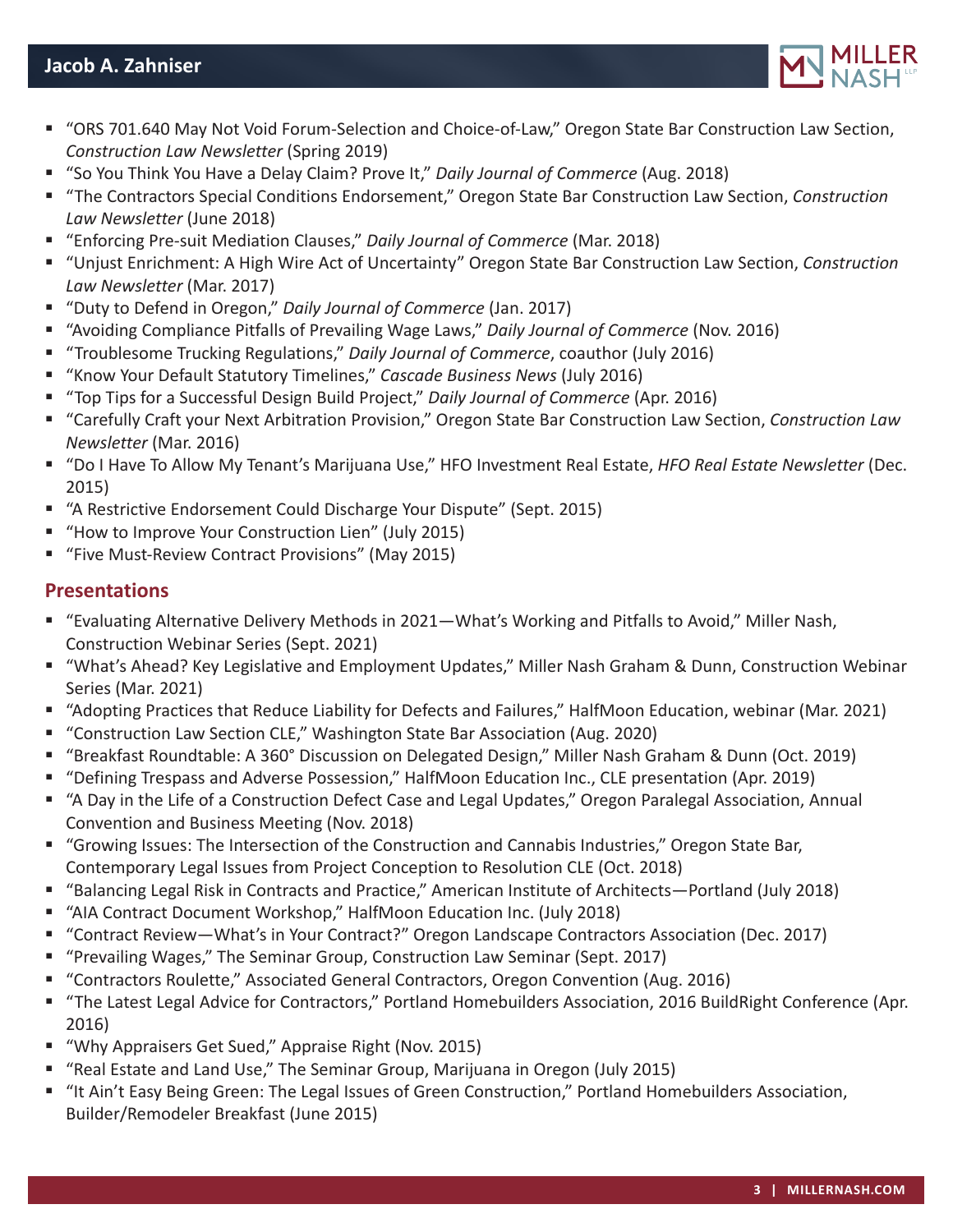

- "ORS 701.640 May Not Void Forum-Selection and Choice-of-Law," Oregon State Bar Construction Law Section, *Construction Law Newsletter* (Spring 2019)
- "So You Think You Have a Delay Claim? Prove It," *Daily Journal of Commerce* (Aug. 2018)
- "The Contractors Special Conditions Endorsement," Oregon State Bar Construction Law Section, *Construction Law Newsletter* (June 2018)
- "Enforcing Pre-suit Mediation Clauses," *Daily Journal of Commerce* (Mar. 2018)
- "Unjust Enrichment: A High Wire Act of Uncertainty" Oregon State Bar Construction Law Section, *Construction Law Newsletter* (Mar. 2017)
- "Duty to Defend in Oregon," *Daily Journal of Commerce* (Jan. 2017)
- "Avoiding Compliance Pitfalls of Prevailing Wage Laws," *Daily Journal of Commerce* (Nov. 2016)
- "Troublesome Trucking Regulations," *Daily Journal of Commerce*, coauthor (July 2016)
- "Know Your Default Statutory Timelines," *Cascade Business News* (July 2016)
- "Top Tips for a Successful Design Build Project," *Daily Journal of Commerce* (Apr. 2016)
- "Carefully Craft your Next Arbitration Provision," Oregon State Bar Construction Law Section, *Construction Law Newsletter* (Mar. 2016)
- "Do I Have To Allow My Tenant's Marijuana Use," HFO Investment Real Estate, *HFO Real Estate Newsletter* (Dec. 2015)
- "A Restrictive Endorsement Could Discharge Your Dispute" (Sept. 2015)
- "How to Improve Your Construction Lien" (July 2015)
- "Five Must-Review Contract Provisions" (May 2015)

## **Presentations**

- "Evaluating Alternative Delivery Methods in 2021—What's Working and Pitfalls to Avoid," Miller Nash, Construction Webinar Series (Sept. 2021)
- "What's Ahead? Key Legislative and Employment Updates," Miller Nash Graham & Dunn, Construction Webinar Series (Mar. 2021)
- "Adopting Practices that Reduce Liability for Defects and Failures," HalfMoon Education, webinar (Mar. 2021)
- "Construction Law Section CLE," Washington State Bar Association (Aug. 2020)
- "Breakfast Roundtable: A 360° Discussion on Delegated Design," Miller Nash Graham & Dunn (Oct. 2019)
- "Defining Trespass and Adverse Possession," HalfMoon Education Inc., CLE presentation (Apr. 2019)
- "A Day in the Life of a Construction Defect Case and Legal Updates," Oregon Paralegal Association, Annual Convention and Business Meeting (Nov. 2018)
- "Growing Issues: The Intersection of the Construction and Cannabis Industries," Oregon State Bar, Contemporary Legal Issues from Project Conception to Resolution CLE (Oct. 2018)
- "Balancing Legal Risk in Contracts and Practice," American Institute of Architects—Portland (July 2018)
- "AIA Contract Document Workshop," HalfMoon Education Inc. (July 2018)
- "Contract Review—What's in Your Contract?" Oregon Landscape Contractors Association (Dec. 2017)
- "Prevailing Wages," The Seminar Group, Construction Law Seminar (Sept. 2017)
- "Contractors Roulette," Associated General Contractors, Oregon Convention (Aug. 2016)
- "The Latest Legal Advice for Contractors," Portland Homebuilders Association, 2016 BuildRight Conference (Apr. 2016)
- "Why Appraisers Get Sued," Appraise Right (Nov. 2015)
- "Real Estate and Land Use," The Seminar Group, Marijuana in Oregon (July 2015)
- "It Ain't Easy Being Green: The Legal Issues of Green Construction," Portland Homebuilders Association, Builder/Remodeler Breakfast (June 2015)